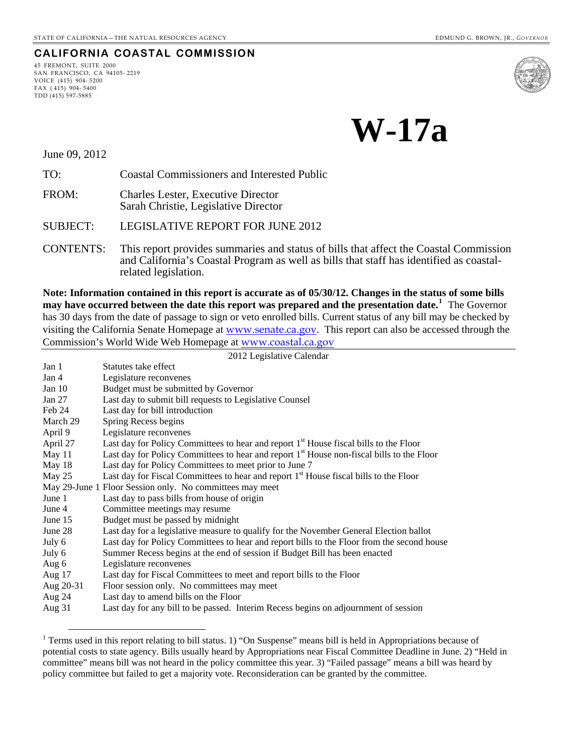#### **CALIFORNIA COASTAL COMMISSION**

45 FREMONT, SUITE 2000 SAN FRANCISCO, CA 94105- 2219 VOICE (415) 904- 5200 FAX ( 415) 904- 5400 TDD (415) 597-5885



**W-17a**

June 09, 2012

 $\overline{a}$ 

TO: Coastal Commissioners and Interested Public

FROM: Charles Lester, Executive Director Sarah Christie, Legislative Director

SUBJECT: LEGISLATIVE REPORT FOR JUNE 2012

CONTENTS: This report provides summaries and status of bills that affect the Coastal Commission and California's Coastal Program as well as bills that staff has identified as coastalrelated legislation.

**Note: Information contained in this report is accurate as of 05/30/12. Changes in the status of some bills may have occurred between the date this report was prepared and the presentation date.[1](#page-0-0)** The Governor has 30 days from the date of passage to sign or veto enrolled bills. Current status of any bill may be checked by visiting the California Senate Homepage at [www.senate.ca.gov](http://www.senate.ca.gov/). This report can also be accessed through the Commission's World Wide Web Homepage at [www.coastal.ca.gov](http://www.coastal.ca.gov/)

| 2012 Legislative Calendar |                                                                                                       |  |
|---------------------------|-------------------------------------------------------------------------------------------------------|--|
| Jan 1                     | Statutes take effect                                                                                  |  |
| Jan 4                     | Legislature reconvenes                                                                                |  |
| Jan $10$                  | Budget must be submitted by Governor                                                                  |  |
| Jan 27                    | Last day to submit bill requests to Legislative Counsel                                               |  |
| Feb 24                    | Last day for bill introduction                                                                        |  |
| March 29                  | Spring Recess begins                                                                                  |  |
| April 9                   | Legislature reconvenes                                                                                |  |
| April 27                  | Last day for Policy Committees to hear and report 1 <sup>st</sup> House fiscal bills to the Floor     |  |
| May 11                    | Last day for Policy Committees to hear and report 1 <sup>st</sup> House non-fiscal bills to the Floor |  |
| May 18                    | Last day for Policy Committees to meet prior to June 7                                                |  |
| May 25                    | Last day for Fiscal Committees to hear and report 1 <sup>st</sup> House fiscal bills to the Floor     |  |
|                           | May 29-June 1 Floor Session only. No committees may meet                                              |  |
| June 1                    | Last day to pass bills from house of origin                                                           |  |
| June 4                    | Committee meetings may resume                                                                         |  |
| June 15                   | Budget must be passed by midnight                                                                     |  |
| June 28                   | Last day for a legislative measure to qualify for the November General Election ballot                |  |
| July 6                    | Last day for Policy Committees to hear and report bills to the Floor from the second house            |  |
| July 6                    | Summer Recess begins at the end of session if Budget Bill has been enacted                            |  |
| Aug 6                     | Legislature reconvenes                                                                                |  |
| Aug 17                    | Last day for Fiscal Committees to meet and report bills to the Floor                                  |  |
| Aug 20-31                 | Floor session only. No committees may meet                                                            |  |
| Aug 24                    | Last day to amend bills on the Floor                                                                  |  |
| Aug 31                    | Last day for any bill to be passed. Interim Recess begins on adjournment of session                   |  |
|                           |                                                                                                       |  |

<span id="page-0-0"></span><sup>&</sup>lt;sup>1</sup> Terms used in this report relating to bill status. 1) "On Suspense" means bill is held in Appropriations because of potential costs to state agency. Bills usually heard by Appropriations near Fiscal Committee Deadline in June. 2) "Held in committee" means bill was not heard in the policy committee this year. 3) "Failed passage" means a bill was heard by policy committee but failed to get a majority vote. Reconsideration can be granted by the committee.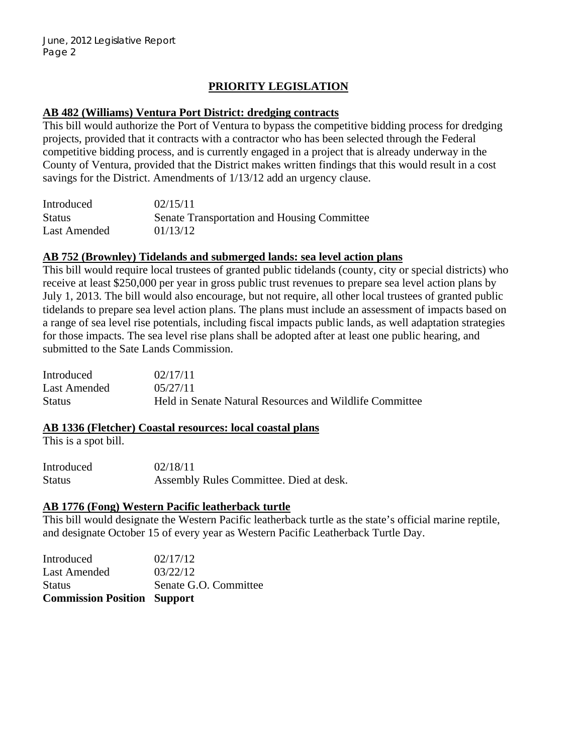# **PRIORITY LEGISLATION**

# **AB 482 (Williams) Ventura Port District: dredging contracts**

This bill would authorize the Port of Ventura to bypass the competitive bidding process for dredging projects, provided that it contracts with a contractor who has been selected through the Federal competitive bidding process, and is currently engaged in a project that is already underway in the County of Ventura, provided that the District makes written findings that this would result in a cost savings for the District. Amendments of 1/13/12 add an urgency clause.

| Introduced    | 02/15/11                                    |
|---------------|---------------------------------------------|
| <b>Status</b> | Senate Transportation and Housing Committee |
| Last Amended  | 01/13/12                                    |

## **AB 752 (Brownley) Tidelands and submerged lands: sea level action plans**

This bill would require local trustees of granted public tidelands (county, city or special districts) who receive at least \$250,000 per year in gross public trust revenues to prepare sea level action plans by July 1, 2013. The bill would also encourage, but not require, all other local trustees of granted public tidelands to prepare sea level action plans. The plans must include an assessment of impacts based on a range of sea level rise potentials, including fiscal impacts public lands, as well adaptation strategies for those impacts. The sea level rise plans shall be adopted after at least one public hearing, and submitted to the Sate Lands Commission.

| Introduced    | 02/17/11                                                |
|---------------|---------------------------------------------------------|
| Last Amended  | 05/27/11                                                |
| <b>Status</b> | Held in Senate Natural Resources and Wildlife Committee |

# **AB 1336 (Fletcher) Coastal resources: local coastal plans**

This is a spot bill.

| Introduced    | 02/18/11                                |
|---------------|-----------------------------------------|
| <b>Status</b> | Assembly Rules Committee. Died at desk. |

# **AB 1776 (Fong) Western Pacific leatherback turtle**

This bill would designate the Western Pacific leatherback turtle as the state's official marine reptile, and designate October 15 of every year as Western Pacific Leatherback Turtle Day.

| <b>Commission Position Support</b> |                       |
|------------------------------------|-----------------------|
| Status                             | Senate G.O. Committee |
| Last Amended                       | 03/22/12              |
| Introduced                         | 02/17/12              |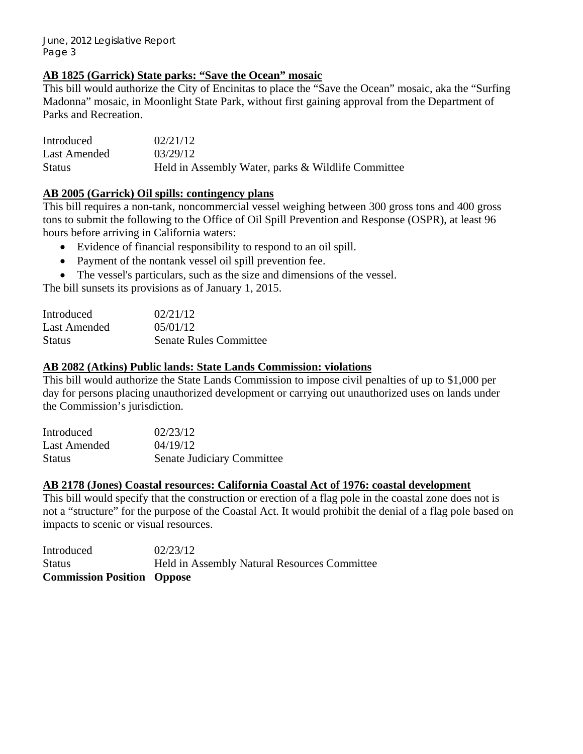## **AB 1825 (Garrick) State parks: "Save the Ocean" mosaic**

This bill would authorize the City of Encinitas to place the "Save the Ocean" mosaic, aka the "Surfing Madonna" mosaic, in Moonlight State Park, without first gaining approval from the Department of Parks and Recreation.

Introduced 02/21/12 Last Amended  $03/29/12$ Status Held in Assembly Water, parks & Wildlife Committee

## **AB 2005 (Garrick) Oil spills: contingency plans**

This bill requires a non-tank, noncommercial vessel weighing between 300 gross tons and 400 gross tons to submit the following to the Office of Oil Spill Prevention and Response (OSPR), at least 96 hours before arriving in California waters:

- Evidence of financial responsibility to respond to an oil spill.
- Payment of the nontank vessel oil spill prevention fee.
- The vessel's particulars, such as the size and dimensions of the vessel.

The bill sunsets its provisions as of January 1, 2015.

| Introduced    | 02/21/12                      |
|---------------|-------------------------------|
| Last Amended  | 05/01/12                      |
| <b>Status</b> | <b>Senate Rules Committee</b> |

#### **AB 2082 (Atkins) Public lands: State Lands Commission: violations**

This bill would authorize the State Lands Commission to impose civil penalties of up to \$1,000 per day for persons placing unauthorized development or carrying out unauthorized uses on lands under the Commission's jurisdiction.

| Introduced    | 02/23/12                          |
|---------------|-----------------------------------|
| Last Amended  | 04/19/12                          |
| <b>Status</b> | <b>Senate Judiciary Committee</b> |

#### **AB 2178 (Jones) Coastal resources: California Coastal Act of 1976: coastal development**

This bill would specify that the construction or erection of a flag pole in the coastal zone does not is not a "structure" for the purpose of the Coastal Act. It would prohibit the denial of a flag pole based on impacts to scenic or visual resources.

Introduced 02/23/12 Status Held in Assembly Natural Resources Committee **Commission Position Oppose**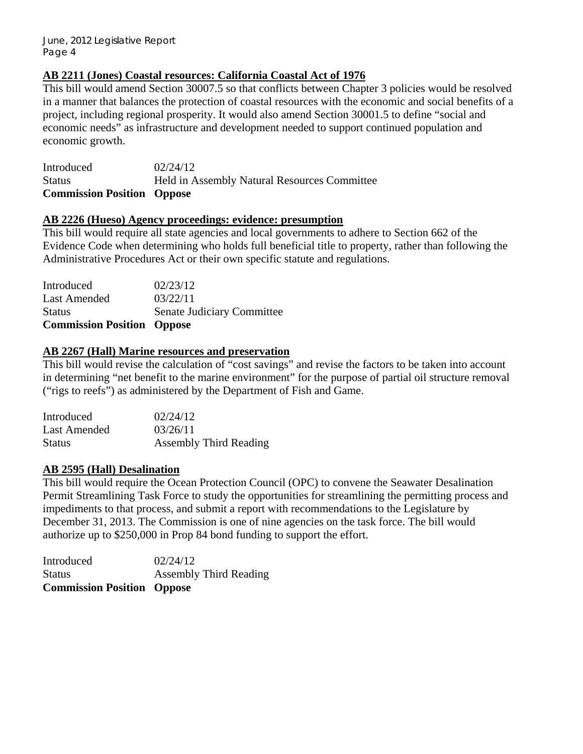## **AB 2211 (Jones) Coastal resources: California Coastal Act of 1976**

This bill would amend Section 30007.5 so that conflicts between Chapter 3 policies would be resolved in a manner that balances the protection of coastal resources with the economic and social benefits of a project, including regional prosperity. It would also amend Section 30001.5 to define "social and economic needs" as infrastructure and development needed to support continued population and economic growth.

Introduced 02/24/12 Status Held in Assembly Natural Resources Committee **Commission Position Oppose** 

#### **AB 2226 (Hueso) Agency proceedings: evidence: presumption**

This bill would require all state agencies and local governments to adhere to Section 662 of the Evidence Code when determining who holds full beneficial title to property, rather than following the Administrative Procedures Act or their own specific statute and regulations.

| <b>Commission Position Oppose</b> |
|-----------------------------------|
| Senate Judiciary Committee        |
| 03/22/11                          |
| 02/23/12                          |
|                                   |

## **AB 2267 (Hall) Marine resources and preservation**

This bill would revise the calculation of "cost savings" and revise the factors to be taken into account in determining "net benefit to the marine environment" for the purpose of partial oil structure removal ("rigs to reefs") as administered by the Department of Fish and Game.

| Introduced    | 02/24/12                      |
|---------------|-------------------------------|
| Last Amended  | 03/26/11                      |
| <b>Status</b> | <b>Assembly Third Reading</b> |

#### **AB 2595 (Hall) Desalination**

This bill would require the Ocean Protection Council (OPC) to convene the Seawater Desalination Permit Streamlining Task Force to study the opportunities for streamlining the permitting process and impediments to that process, and submit a report with recommendations to the Legislature by December 31, 2013. The Commission is one of nine agencies on the task force. The bill would authorize up to \$250,000 in Prop 84 bond funding to support the effort.

| <b>Commission Position Oppose</b> |                               |
|-----------------------------------|-------------------------------|
| <b>Status</b>                     | <b>Assembly Third Reading</b> |
| Introduced                        | 02/24/12                      |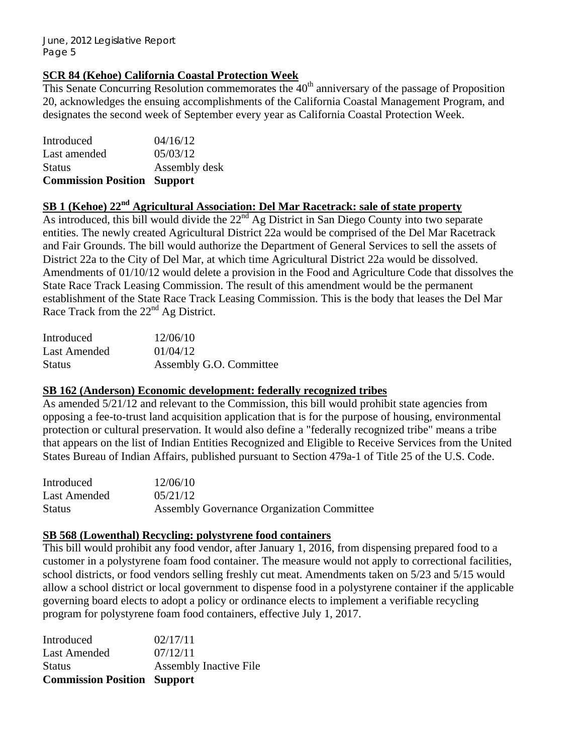# **SCR 84 (Kehoe) California Coastal Protection Week**

This Senate Concurring Resolution commemorates the  $40<sup>th</sup>$  anniversary of the passage of Proposition 20, acknowledges the ensuing accomplishments of the California Coastal Management Program, and designates the second week of September every year as California Coastal Protection Week.

| <b>Commission Position Support</b> |
|------------------------------------|
| Assembly desk                      |
| 05/03/12                           |
| 04/16/12                           |
|                                    |

# **SB 1 (Kehoe) 22nd Agricultural Association: Del Mar Racetrack: sale of state property**

As introduced, this bill would divide the 22<sup>nd</sup> Ag District in San Diego County into two separate entities. The newly created Agricultural District 22a would be comprised of the Del Mar Racetrack and Fair Grounds. The bill would authorize the Department of General Services to sell the assets of District 22a to the City of Del Mar, at which time Agricultural District 22a would be dissolved. Amendments of 01/10/12 would delete a provision in the Food and Agriculture Code that dissolves the State Race Track Leasing Commission. The result of this amendment would be the permanent establishment of the State Race Track Leasing Commission. This is the body that leases the Del Mar Race Track from the  $22<sup>nd</sup>$  Ag District.

| Introduced    | 12/06/10                |
|---------------|-------------------------|
| Last Amended  | 01/04/12                |
| <b>Status</b> | Assembly G.O. Committee |

#### **SB 162 (Anderson) Economic development: federally recognized tribes**

As amended  $5/21/12$  and relevant to the Commission, this bill would prohibit state agencies from opposing a fee-to-trust land acquisition application that is for the purpose of housing, environmental protection or cultural preservation. It would also define a "federally recognized tribe" means a tribe that appears on the list of Indian Entities Recognized and Eligible to Receive Services from the United States Bureau of Indian Affairs, published pursuant to Section 479a-1 of Title 25 of the U.S. Code.

| Introduced    | 12/06/10                                          |
|---------------|---------------------------------------------------|
| Last Amended  | 0.5/21/12                                         |
| <b>Status</b> | <b>Assembly Governance Organization Committee</b> |

#### **SB 568 (Lowenthal) Recycling: polystyrene food containers**

This bill would prohibit any food vendor, after January 1, 2016, from dispensing prepared food to a customer in a polystyrene foam food container. The measure would not apply to correctional facilities, school districts, or food vendors selling freshly cut meat. Amendments taken on 5/23 and 5/15 would allow a school district or local government to dispense food in a polystyrene container if the applicable governing board elects to adopt a policy or ordinance elects to implement a verifiable recycling program for polystyrene foam food containers, effective July 1, 2017.

| <b>Commission Position Support</b> |                               |
|------------------------------------|-------------------------------|
| <b>Status</b>                      | <b>Assembly Inactive File</b> |
| Last Amended                       | 07/12/11                      |
| Introduced                         | 02/17/11                      |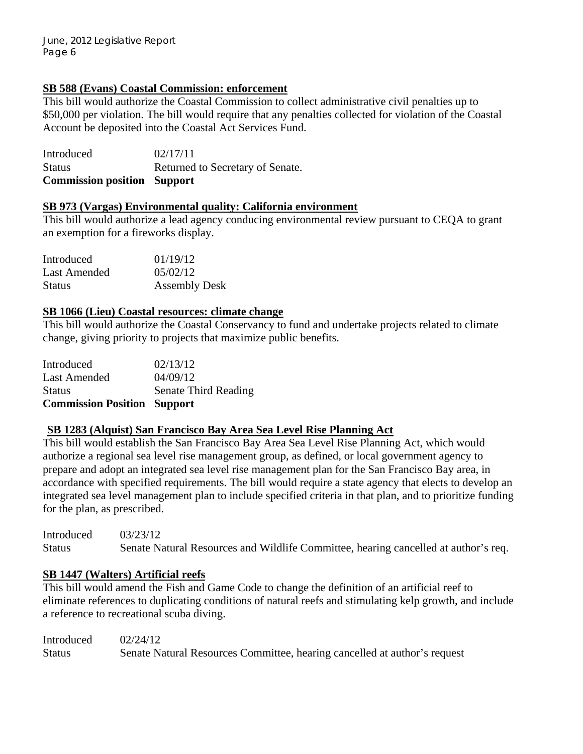# **SB 588 (Evans) Coastal Commission: enforcement**

This bill would authorize the Coastal Commission to collect administrative civil penalties up to \$50,000 per violation. The bill would require that any penalties collected for violation of the Coastal Account be deposited into the Coastal Act Services Fund.

Introduced 02/17/11 Status Returned to Secretary of Senate. **Commission position Support** 

#### **SB 973 (Vargas) Environmental quality: California environment**

This bill would authorize a lead agency conducing environmental review pursuant to CEQA to grant an exemption for a fireworks display.

| Introduced    | 01/19/12             |
|---------------|----------------------|
| Last Amended  | 05/02/12             |
| <b>Status</b> | <b>Assembly Desk</b> |

#### **SB 1066 (Lieu) Coastal resources: climate change**

This bill would authorize the Coastal Conservancy to fund and undertake projects related to climate change, giving priority to projects that maximize public benefits.

| <b>Commission Position Support</b> |                      |
|------------------------------------|----------------------|
| <b>Status</b>                      | Senate Third Reading |
| Last Amended                       | 04/09/12             |
| Introduced                         | 02/13/12             |

#### **SB 1283 (Alquist) San Francisco Bay Area Sea Level Rise Planning Act**

This bill would establish the San Francisco Bay Area Sea Level Rise Planning Act, which would authorize a regional sea level rise management group, as defined, or local government agency to prepare and adopt an integrated sea level rise management plan for the San Francisco Bay area, in accordance with specified requirements. The bill would require a state agency that elects to develop an integrated sea level management plan to include specified criteria in that plan, and to prioritize funding for the plan, as prescribed.

Introduced 03/23/12 Status Senate Natural Resources and Wildlife Committee, hearing cancelled at author's req.

#### **SB 1447 (Walters) Artificial reefs**

This bill would amend the Fish and Game Code to change the definition of an artificial reef to eliminate references to duplicating conditions of natural reefs and stimulating kelp growth, and include a reference to recreational scuba diving.

| Introduced | 02/24/12                                                                  |
|------------|---------------------------------------------------------------------------|
| Status     | Senate Natural Resources Committee, hearing cancelled at author's request |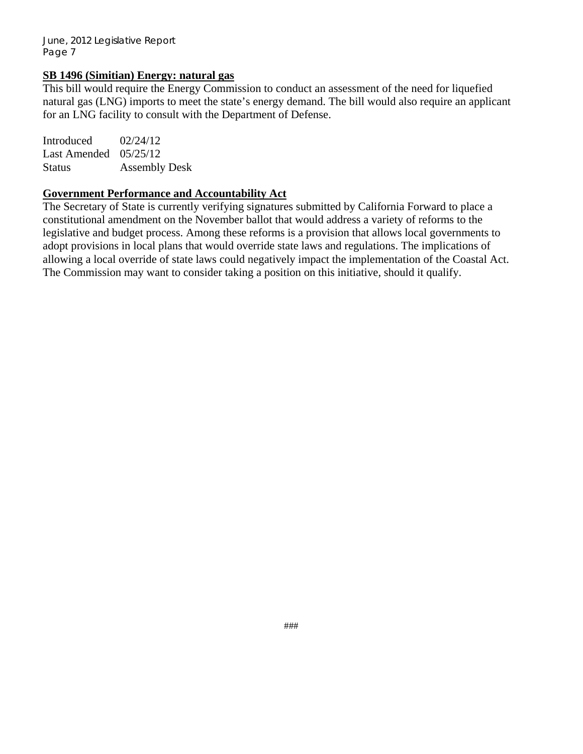#### **SB 1496 (Simitian) Energy: natural gas**

This bill would require the Energy Commission to conduct an assessment of the need for liquefied natural gas (LNG) imports to meet the state's energy demand. The bill would also require an applicant for an LNG facility to consult with the Department of Defense.

Introduced  $02/24/12$ Last Amended 05/25/12 Status Assembly Desk

#### **Government Performance and Accountability Act**

The Secretary of State is currently verifying signatures submitted by California Forward to place a constitutional amendment on the November ballot that would address a variety of reforms to the legislative and budget process. Among these reforms is a provision that allows local governments to adopt provisions in local plans that would override state laws and regulations. The implications of allowing a local override of state laws could negatively impact the implementation of the Coastal Act. The Commission may want to consider taking a position on this initiative, should it qualify.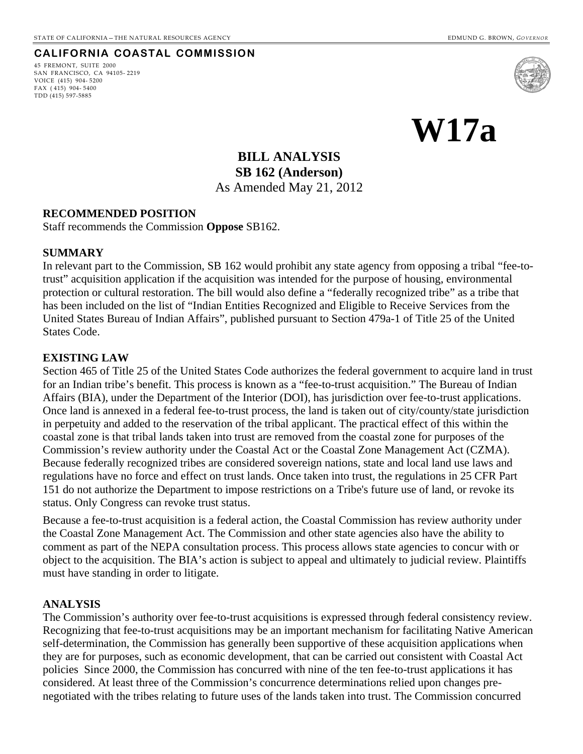#### **CALIFORNIA COASTAL COMMISSION**

45 FREMONT, SUITE 2000 SAN FRANCISCO, CA 94105- 2219 VOICE (415) 904- 5200 FAX ( 415) 904- 5400 TDD (415) 597-5885



**W17a** 

**BILL ANALYSIS SB 162 (Anderson)**  As Amended May 21, 2012

#### **RECOMMENDED POSITION**

Staff recommends the Commission **Oppose** SB162.

#### **SUMMARY**

In relevant part to the Commission, SB 162 would prohibit any state agency from opposing a tribal "fee-totrust" acquisition application if the acquisition was intended for the purpose of housing, environmental protection or cultural restoration. The bill would also define a "federally recognized tribe" as a tribe that has been included on the list of "Indian Entities Recognized and Eligible to Receive Services from the United States Bureau of Indian Affairs", published pursuant to Section 479a-1 of Title 25 of the United States Code.

#### **EXISTING LAW**

Section 465 of Title 25 of the United States Code authorizes the federal government to acquire land in trust for an Indian tribe's benefit. This process is known as a "fee-to-trust acquisition." The Bureau of Indian Affairs (BIA), under the Department of the Interior (DOI), has jurisdiction over fee-to-trust applications. Once land is annexed in a federal fee-to-trust process, the land is taken out of city/county/state jurisdiction in perpetuity and added to the reservation of the tribal applicant. The practical effect of this within the coastal zone is that tribal lands taken into trust are removed from the coastal zone for purposes of the Commission's review authority under the Coastal Act or the Coastal Zone Management Act (CZMA). Because federally recognized tribes are considered sovereign nations, state and local land use laws and regulations have no force and effect on trust lands. Once taken into trust, the regulations in 25 CFR Part 151 do not authorize the Department to impose restrictions on a Tribe's future use of land, or revoke its status. Only Congress can revoke trust status.

Because a fee-to-trust acquisition is a federal action, the Coastal Commission has review authority under the Coastal Zone Management Act. The Commission and other state agencies also have the ability to comment as part of the NEPA consultation process. This process allows state agencies to concur with or object to the acquisition. The BIA's action is subject to appeal and ultimately to judicial review. Plaintiffs must have standing in order to litigate.

#### **ANALYSIS**

The Commission's authority over fee-to-trust acquisitions is expressed through federal consistency review. Recognizing that fee-to-trust acquisitions may be an important mechanism for facilitating Native American self-determination, the Commission has generally been supportive of these acquisition applications when they are for purposes, such as economic development, that can be carried out consistent with Coastal Act policies Since 2000, the Commission has concurred with nine of the ten fee-to-trust applications it has considered. At least three of the Commission's concurrence determinations relied upon changes prenegotiated with the tribes relating to future uses of the lands taken into trust. The Commission concurred